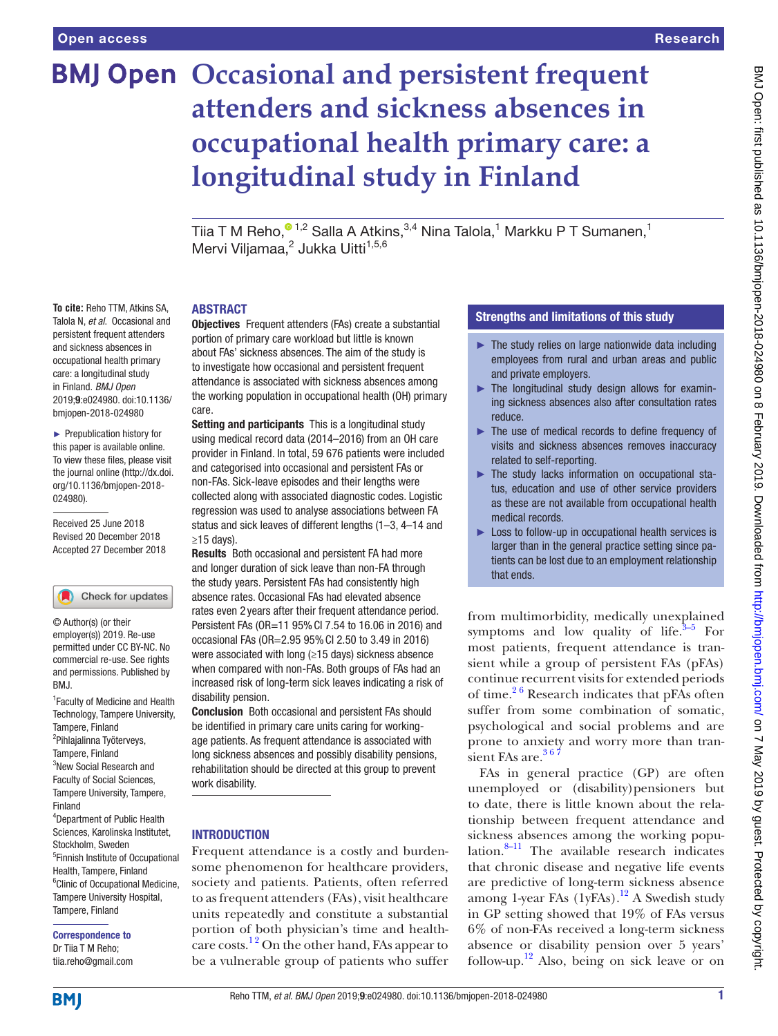**To cite:** Reho TTM, Atkins SA, Talola N, *et al*. Occasional and persistent frequent attenders and sickness absences in occupational health primary care: a longitudinal study in Finland. *BMJ Open* 2019;9:e024980. doi:10.1136/ bmjopen-2018-024980 ► Prepublication history for this paper is available online. To view these files, please visit the journal online [\(http://dx.doi.](http://dx.doi.org/10.1136/bmjopen-2018-024980) [org/10.1136/bmjopen-2018-](http://dx.doi.org/10.1136/bmjopen-2018-024980)

[024980\)](http://dx.doi.org/10.1136/bmjopen-2018-024980).

Received 25 June 2018 Revised 20 December 2018 Accepted 27 December 2018

1 Faculty of Medicine and Health Technology, Tampere University,

Check for updates

4 Department of Public Health Sciences, Karolinska Institutet, Stockholm, Sweden

5 Finnish Institute of Occupational Health, Tampere, Finland <sup>6</sup> Clinic of Occupational Medicine, Tampere University Hospital, Tampere, Finland Correspondence to Dr Tiia T M Reho; tiia.reho@gmail.com

Tampere, Finland <sup>2</sup>Pihlajalinna Työterveys, Tampere, Finland <sup>3</sup>New Social Research and Faculty of Social Sciences, Tampere University, Tampere,

© Author(s) (or their employer(s)) 2019. Re-use permitted under CC BY-NC. No commercial re-use. See rights and permissions. Published by

Finland

BMJ.

# **BMJ Open Occasional and persistent frequent attenders and sickness absences in occupational health primary care: a longitudinal study in Finland**

TiiaT M Reho, $^{\circ}$  1,2 Salla A Atkins, $^{3,4}$  Nina Talola, $^1$  Markku P T Sumanen, $^1$ Mervi Viljamaa,<sup>2</sup> Jukka Uitti<sup>1,5,6</sup>

#### **ABSTRACT**

Objectives Frequent attenders (FAs) create a substantial portion of primary care workload but little is known about FAs' sickness absences. The aim of the study is to investigate how occasional and persistent frequent attendance is associated with sickness absences among the working population in occupational health (OH) primary care.

Setting and participants This is a longitudinal study using medical record data (2014–2016) from an OH care provider in Finland. In total, 59 676 patients were included and categorised into occasional and persistent FAs or non-FAs. Sick-leave episodes and their lengths were collected along with associated diagnostic codes. Logistic regression was used to analyse associations between FA status and sick leaves of different lengths (1–3, 4–14 and  $≥15$  davs).

Results Both occasional and persistent FA had more and longer duration of sick leave than non-FA through the study years. Persistent FAs had consistently high absence rates. Occasional FAs had elevated absence rates even 2 years after their frequent attendance period. Persistent FAs (OR=11 95%CI 7.54 to 16.06 in 2016) and occasional FAs (OR=2.95 95%CI 2.50 to 3.49 in 2016) were associated with long (≥15 days) sickness absence when compared with non-FAs. Both groups of FAs had an increased risk of long-term sick leaves indicating a risk of disability pension.

Conclusion Both occasional and persistent FAs should be identified in primary care units caring for workingage patients. As frequent attendance is associated with long sickness absences and possibly disability pensions, rehabilitation should be directed at this group to prevent work disability.

#### **INTRODUCTION**

Frequent attendance is a costly and burdensome phenomenon for healthcare providers, society and patients. Patients, often referred to as frequent attenders (FAs), visit healthcare units repeatedly and constitute a substantial portion of both physician's time and healthcare costs.<sup>12</sup> On the other hand, FAs appear to be a vulnerable group of patients who suffer

#### Strengths and limitations of this study

- $\blacktriangleright$  The study relies on large nationwide data including employees from rural and urban areas and public and private employers.
- ► The longitudinal study design allows for examining sickness absences also after consultation rates reduce.
- ► The use of medical records to define frequency of visits and sickness absences removes inaccuracy related to self-reporting.
- ► The study lacks information on occupational status, education and use of other service providers as these are not available from occupational health medical records.
- ► Loss to follow-up in occupational health services is larger than in the general practice setting since patients can be lost due to an employment relationship that ends.

from multimorbidity, medically unexplained symptoms and low quality of life. $3-5$  For most patients, frequent attendance is transient while a group of persistent FAs (pFAs) continue recurrent visits for extended periods of time.<sup>26</sup> Research indicates that pFAs often suffer from some combination of somatic, psychological and social problems and are prone to anxiety and worry more than transient FAs are.<sup>367</sup>

FAs in general practice (GP) are often unemployed or (disability)pensioners but to date, there is little known about the relationship between frequent attendance and sickness absences among the working population. $8-11$  The available research indicates that chronic disease and negative life events are predictive of long-term sickness absence among 1-year FAs  $(1yFAs).^{12}$  A Swedish study in GP setting showed that 19% of FAs versus 6% of non-FAs received a long-term sickness absence or disability pension over 5 years' follow-up. $^{12}$  Also, being on sick leave or on

**BMI**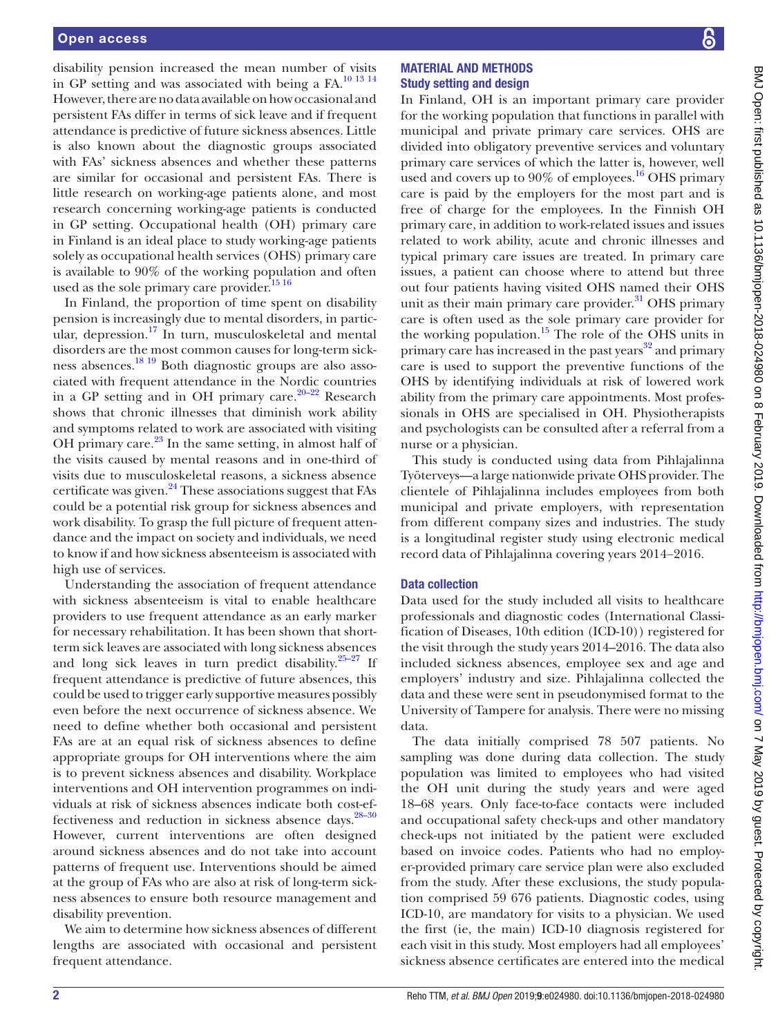disability pension increased the mean number of visits in GP setting and was associated with being a FA.[10 13 14](#page-8-5) However, there are no data available on how occasional and persistent FAs differ in terms of sick leave and if frequent attendance is predictive of future sickness absences. Little is also known about the diagnostic groups associated with FAs' sickness absences and whether these patterns are similar for occasional and persistent FAs. There is little research on working-age patients alone, and most research concerning working-age patients is conducted in GP setting. Occupational health (OH) primary care in Finland is an ideal place to study working-age patients solely as occupational health services (OHS) primary care is available to 90% of the working population and often used as the sole primary care provider. $1516$ 

In Finland, the proportion of time spent on disability pension is increasingly due to mental disorders, in particular, depression. $^{17}$  $^{17}$  $^{17}$  In turn, musculoskeletal and mental disorders are the most common causes for long-term sickness absences.[18 19](#page-8-8) Both diagnostic groups are also associated with frequent attendance in the Nordic countries in a GP setting and in OH primary care.<sup>20–22</sup> Research shows that chronic illnesses that diminish work ability and symptoms related to work are associated with visiting OH primary care. $^{23}$  In the same setting, in almost half of the visits caused by mental reasons and in one-third of visits due to musculoskeletal reasons, a sickness absence certificate was given.<sup>24</sup> These associations suggest that FAs could be a potential risk group for sickness absences and work disability. To grasp the full picture of frequent attendance and the impact on society and individuals, we need to know if and how sickness absenteeism is associated with high use of services.

Understanding the association of frequent attendance with sickness absenteeism is vital to enable healthcare providers to use frequent attendance as an early marker for necessary rehabilitation. It has been shown that shortterm sick leaves are associated with long sickness absences and long sick leaves in turn predict disability. $25-27$  If frequent attendance is predictive of future absences, this could be used to trigger early supportive measures possibly even before the next occurrence of sickness absence. We need to define whether both occasional and persistent FAs are at an equal risk of sickness absences to define appropriate groups for OH interventions where the aim is to prevent sickness absences and disability. Workplace interventions and OH intervention programmes on individuals at risk of sickness absences indicate both cost-effectiveness and reduction in sickness absence days. $28-30$ However, current interventions are often designed around sickness absences and do not take into account patterns of frequent use. Interventions should be aimed at the group of FAs who are also at risk of long-term sickness absences to ensure both resource management and disability prevention.

We aim to determine how sickness absences of different lengths are associated with occasional and persistent frequent attendance.

# Material and methods Study setting and design

In Finland, OH is an important primary care provider for the working population that functions in parallel with municipal and private primary care services. OHS are divided into obligatory preventive services and voluntary primary care services of which the latter is, however, well used and covers up to  $90\%$  of employees.<sup>[16](#page-8-14)</sup> OHS primary care is paid by the employers for the most part and is free of charge for the employees. In the Finnish OH primary care, in addition to work-related issues and issues related to work ability, acute and chronic illnesses and typical primary care issues are treated. In primary care issues, a patient can choose where to attend but three out four patients having visited OHS named their OHS unit as their main primary care provider. $31$  OHS primary care is often used as the sole primary care provider for the working population.<sup>15</sup> The role of the OHS units in primary care has increased in the past years $32^2$  and primary care is used to support the preventive functions of the OHS by identifying individuals at risk of lowered work ability from the primary care appointments. Most professionals in OHS are specialised in OH. Physiotherapists and psychologists can be consulted after a referral from a nurse or a physician.

This study is conducted using data from Pihlajalinna Työterveys—a large nationwide private OHS provider. The clientele of Pihlajalinna includes employees from both municipal and private employers, with representation from different company sizes and industries. The study is a longitudinal register study using electronic medical record data of Pihlajalinna covering years 2014−2016.

# Data collection

Data used for the study included all visits to healthcare professionals and diagnostic codes (International Classification of Diseases, 10th edition (ICD-10)) registered for the visit through the study years 2014–2016. The data also included sickness absences, employee sex and age and employers' industry and size. Pihlajalinna collected the data and these were sent in pseudonymised format to the University of Tampere for analysis. There were no missing data.

The data initially comprised 78 507 patients. No sampling was done during data collection. The study population was limited to employees who had visited the OH unit during the study years and were aged 18–68 years. Only face-to-face contacts were included and occupational safety check-ups and other mandatory check-ups not initiated by the patient were excluded based on invoice codes. Patients who had no employer-provided primary care service plan were also excluded from the study. After these exclusions, the study population comprised 59 676 patients. Diagnostic codes, using ICD-10, are mandatory for visits to a physician. We used the first (ie, the main) ICD-10 diagnosis registered for each visit in this study. Most employers had all employees' sickness absence certificates are entered into the medical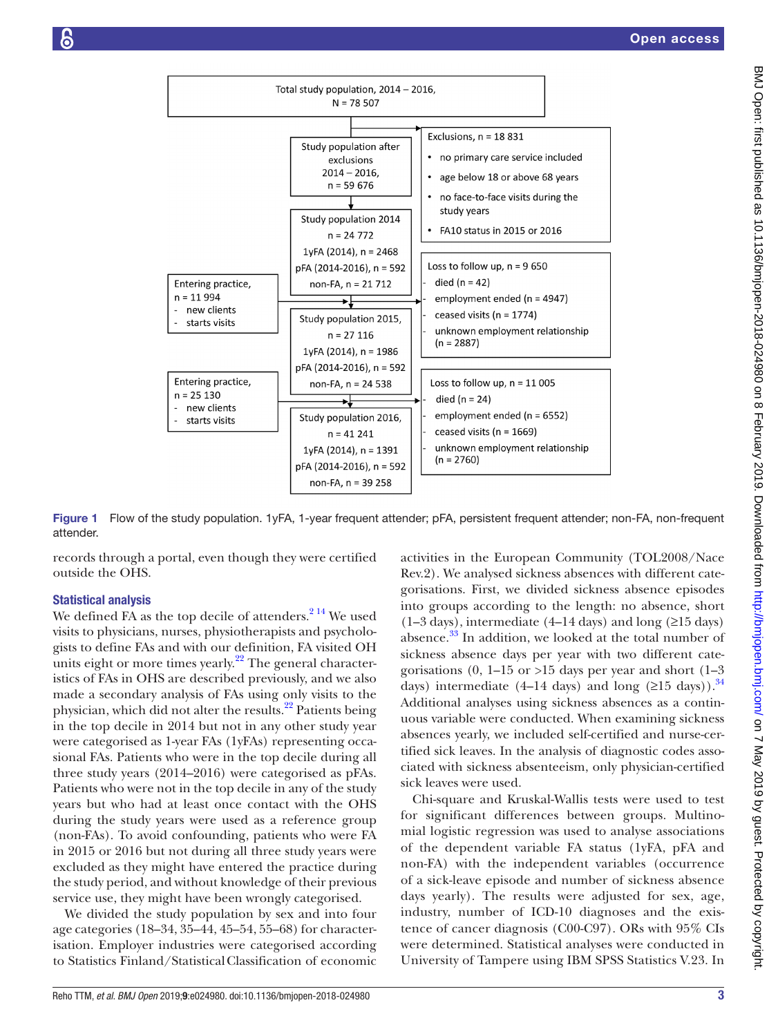

Figure 1 Flow of the study population. 1yFA, 1-year frequent attender; pFA, persistent frequent attender; non-FA, non-frequent attender.

records through a portal, even though they were certified outside the OHS.

#### Statistical analysis

We defined FA as the top decile of attenders. $2^{14}$  We used visits to physicians, nurses, physiotherapists and psychologists to define FAs and with our definition, FA visited OH units eight or more times yearly. $22$  The general characteristics of FAs in OHS are described previously, and we also made a secondary analysis of FAs using only visits to the physician, which did not alter the results.<sup>[22](#page-8-15)</sup> Patients being in the top decile in 2014 but not in any other study year were categorised as 1-year FAs (1yFAs) representing occasional FAs. Patients who were in the top decile during all three study years (2014–2016) were categorised as pFAs. Patients who were not in the top decile in any of the study years but who had at least once contact with the OHS during the study years were used as a reference group (non-FAs). To avoid confounding, patients who were FA in 2015 or 2016 but not during all three study years were excluded as they might have entered the practice during the study period, and without knowledge of their previous service use, they might have been wrongly categorised.

We divided the study population by sex and into four age categories (18–34, 35–44, 45–54, 55–68) for characterisation. Employer industries were categorised according to Statistics Finland/StatisticalClassification of economic

<span id="page-2-0"></span>activities in the European Community (TOL2008/Nace Rev.2). We analysed sickness absences with different categorisations. First, we divided sickness absence episodes into groups according to the length: no absence, short  $(1-3 \text{ days})$ , intermediate  $(4-14 \text{ days})$  and long  $(215 \text{ days})$ absence.<sup>33</sup> In addition, we looked at the total number of sickness absence days per year with two different categorisations  $(0, 1-15 \text{ or } 515 \text{ days})$  per year and short  $(1-3)$ days) intermediate (4–14 days) and long (≥15 days).<sup>[34](#page-9-3)</sup> Additional analyses using sickness absences as a continuous variable were conducted. When examining sickness absences yearly, we included self-certified and nurse-certified sick leaves. In the analysis of diagnostic codes associated with sickness absenteeism, only physician-certified sick leaves were used.

Chi-square and Kruskal-Wallis tests were used to test for significant differences between groups. Multinomial logistic regression was used to analyse associations of the dependent variable FA status (1yFA, pFA and non-FA) with the independent variables (occurrence of a sick-leave episode and number of sickness absence days yearly). The results were adjusted for sex, age, industry, number of ICD-10 diagnoses and the existence of cancer diagnosis (C00-C97). ORs with 95% CIs were determined. Statistical analyses were conducted in University of Tampere using IBM SPSS Statistics V.23. In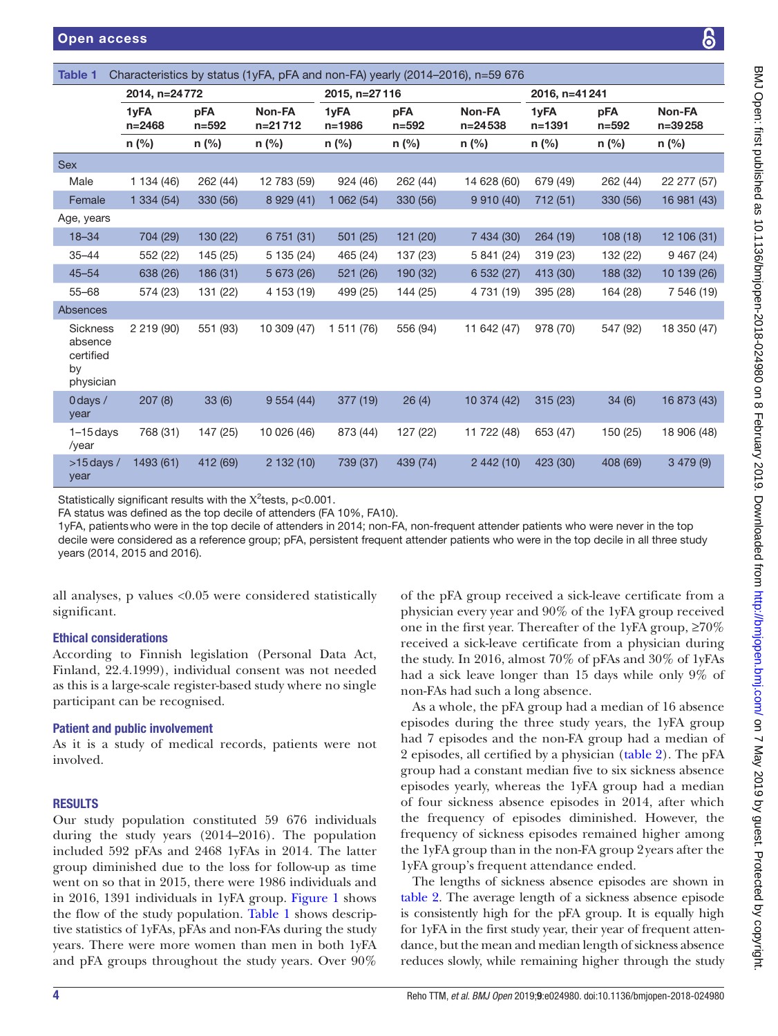<span id="page-3-0"></span>

| Characteristics by status (1yFA, pFA and non-FA) yearly (2014–2016), n=59 676<br>Table 1 |                    |                  |                   |                |                  |                       |                    |                  |                       |  |
|------------------------------------------------------------------------------------------|--------------------|------------------|-------------------|----------------|------------------|-----------------------|--------------------|------------------|-----------------------|--|
|                                                                                          | 2014, n=24772      |                  |                   | 2015, n=27116  |                  |                       | 2016, n=41241      |                  |                       |  |
|                                                                                          | 1yFA<br>$n = 2468$ | pFA<br>$n = 592$ | Non-FA<br>n=21712 | 1yFA<br>n=1986 | pFA<br>$n = 592$ | Non-FA<br>$n = 24538$ | 1yFA<br>$n = 1391$ | pFA<br>$n = 592$ | Non-FA<br>$n = 39258$ |  |
|                                                                                          | n (%)              | n (%)            | n (%)             | n (%)          | n (%)            | n (%)                 | n (%)              | n (%)            | n (%)                 |  |
| Sex                                                                                      |                    |                  |                   |                |                  |                       |                    |                  |                       |  |
| Male                                                                                     | 1 134 (46)         | 262 (44)         | 12 783 (59)       | 924 (46)       | 262 (44)         | 14 628 (60)           | 679 (49)           | 262 (44)         | 22 277 (57)           |  |
| Female                                                                                   | 1 334 (54)         | 330 (56)         | 8 9 29 (41)       | 1 062 (54)     | 330 (56)         | 9910(40)              | 712 (51)           | 330 (56)         | 16 981 (43)           |  |
| Age, years                                                                               |                    |                  |                   |                |                  |                       |                    |                  |                       |  |
| $18 - 34$                                                                                | 704 (29)           | 130 (22)         | 6 751 (31)        | 501 (25)       | 121 (20)         | 7 434 (30)            | 264 (19)           | 108 (18)         | 12 106 (31)           |  |
| $35 - 44$                                                                                | 552 (22)           | 145 (25)         | 5 135 (24)        | 465 (24)       | 137 (23)         | 5 841 (24)            | 319 (23)           | 132 (22)         | 9 467 (24)            |  |
| $45 - 54$                                                                                | 638 (26)           | 186 (31)         | 5 673 (26)        | 521 (26)       | 190 (32)         | 6 532 (27)            | 413 (30)           | 188 (32)         | 10 139 (26)           |  |
| $55 - 68$                                                                                | 574 (23)           | 131 (22)         | 4 153 (19)        | 499 (25)       | 144 (25)         | 4 731 (19)            | 395 (28)           | 164 (28)         | 7 546 (19)            |  |
| <b>Absences</b>                                                                          |                    |                  |                   |                |                  |                       |                    |                  |                       |  |
| <b>Sickness</b><br>absence<br>certified<br>by<br>physician                               | 2 2 1 9 (90)       | 551 (93)         | 10 309 (47)       | 1 511 (76)     | 556 (94)         | 11 642 (47)           | 978 (70)           | 547 (92)         | 18 350 (47)           |  |
| $0$ days $/$<br>year                                                                     | 207(8)             | 33(6)            | 9554(44)          | 377 (19)       | 26(4)            | 10 374 (42)           | 315(23)            | 34(6)            | 16 873 (43)           |  |
| $1 - 15$ days<br>/year                                                                   | 768 (31)           | 147 (25)         | 10 026 (46)       | 873 (44)       | 127 (22)         | 11 722 (48)           | 653 (47)           | 150 (25)         | 18 906 (48)           |  |
| $>15$ days /<br>year                                                                     | 1493 (61)          | 412 (69)         | 2132(10)          | 739 (37)       | 439 (74)         | 2442(10)              | 423 (30)           | 408 (69)         | 3 479 (9)             |  |

Statistically significant results with the  $X^2$ tests, p<0.001.

FA status was defined as the top decile of attenders (FA 10%, FA10).

1yFA, patientswho were in the top decile of attenders in 2014; non-FA, non-frequent attender patients who were never in the top decile were considered as a reference group; pFA, persistent frequent attender patients who were in the top decile in all three study years (2014, 2015 and 2016).

all analyses, p values <0.05 were considered statistically significant.

## Ethical considerations

According to Finnish legislation (Personal Data Act, Finland, 22.4.1999), individual consent was not needed as this is a large-scale register-based study where no single participant can be recognised.

## Patient and public involvement

As it is a study of medical records, patients were not involved.

## **RESULTS**

Our study population constituted 59 676 individuals during the study years (2014–2016). The population included 592 pFAs and 2468 1yFAs in 2014. The latter group diminished due to the loss for follow-up as time went on so that in 2015, there were 1986 individuals and in 2016, 1391 individuals in 1yFA group. [Figure](#page-2-0) 1 shows the flow of the study population. [Table](#page-3-0) 1 shows descriptive statistics of 1yFAs, pFAs and non-FAs during the study years. There were more women than men in both 1yFA and pFA groups throughout the study years. Over 90%

of the pFA group received a sick-leave certificate from a physician every year and 90% of the 1yFA group received one in the first year. Thereafter of the 1yFA group,  $\geq 70\%$ received a sick-leave certificate from a physician during the study. In 2016, almost 70% of pFAs and 30% of 1yFAs had a sick leave longer than 15 days while only 9% of non-FAs had such a long absence.

As a whole, the pFA group had a median of 16 absence episodes during the three study years, the 1yFA group had 7 episodes and the non-FA group had a median of 2 episodes, all certified by a physician ([table](#page-4-0) 2). The pFA group had a constant median five to six sickness absence episodes yearly, whereas the 1yFA group had a median of four sickness absence episodes in 2014, after which the frequency of episodes diminished. However, the frequency of sickness episodes remained higher among the 1yFA group than in the non-FA group 2years after the 1yFA group's frequent attendance ended.

The lengths of sickness absence episodes are shown in [table](#page-4-0) 2. The average length of a sickness absence episode is consistently high for the pFA group. It is equally high for 1yFA in the first study year, their year of frequent attendance, but the mean and median length of sickness absence reduces slowly, while remaining higher through the study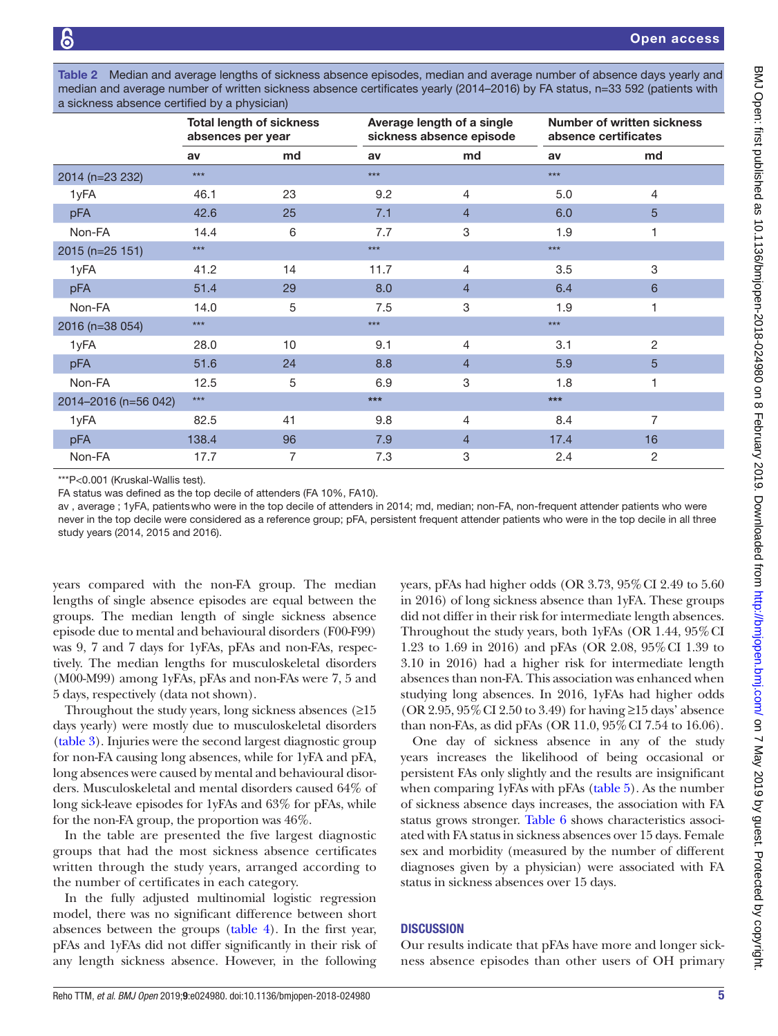<span id="page-4-0"></span>Median and average lengths of sickness absence episodes, median and average number of absence days yearly and median and average number of written sickness absence certificates yearly (2014–2016) by FA status, n=33 592 (patients with a sickness absence certified by a physician)

|                      | <b>Total length of sickness</b><br>absences per year |                |       | Average length of a single<br>sickness absence episode | <b>Number of written sickness</b><br>absence certificates |    |  |
|----------------------|------------------------------------------------------|----------------|-------|--------------------------------------------------------|-----------------------------------------------------------|----|--|
|                      | av                                                   | md             | av    | md                                                     | av                                                        | md |  |
| 2014 (n=23 232)      | $***$                                                |                | $***$ |                                                        | $***$                                                     |    |  |
| 1yFA                 | 46.1                                                 | 23             | 9.2   | 4                                                      | 5.0                                                       | 4  |  |
| pFA                  | 42.6                                                 | 25             | 7.1   | $\overline{4}$                                         | 6.0                                                       | 5  |  |
| Non-FA               | 14.4                                                 | 6              | 7.7   | $\ensuremath{\mathsf{3}}$                              | 1.9                                                       | 1  |  |
| 2015 (n=25 151)      | $***$                                                |                | $***$ |                                                        | $***$                                                     |    |  |
| 1yFA                 | 41.2                                                 | 14             | 11.7  | $\overline{4}$                                         | 3.5                                                       | 3  |  |
| pFA                  | 51.4                                                 | 29             | 8.0   | $\overline{4}$                                         | 6.4                                                       | 6  |  |
| Non-FA               | 14.0                                                 | 5              | 7.5   | 3                                                      | 1.9                                                       | 1  |  |
| 2016 (n=38 054)      | $***$                                                |                | $***$ |                                                        | $***$                                                     |    |  |
| 1yFA                 | 28.0                                                 | 10             | 9.1   | $\overline{4}$                                         | 3.1                                                       | 2  |  |
| pFA                  | 51.6                                                 | 24             | 8.8   | $\overline{4}$                                         | 5.9                                                       | 5  |  |
| Non-FA               | 12.5                                                 | 5              | 6.9   | 3                                                      | 1.8                                                       | 1  |  |
| 2014-2016 (n=56 042) | $***$                                                |                | $***$ |                                                        | $***$                                                     |    |  |
| 1yFA                 | 82.5                                                 | 41             | 9.8   | $\overline{4}$                                         | 8.4                                                       | 7  |  |
| pFA                  | 138.4                                                | 96             | 7.9   | $\overline{4}$                                         | 17.4                                                      | 16 |  |
| Non-FA               | 17.7                                                 | $\overline{7}$ | 7.3   | 3                                                      | 2.4                                                       | 2  |  |

\*\*\*P<0.001 (Kruskal-Wallis test).

FA status was defined as the top decile of attenders (FA 10%, FA10).

av , average ; 1yFA, patientswho were in the top decile of attenders in 2014; md, median; non-FA, non-frequent attender patients who were never in the top decile were considered as a reference group; pFA, persistent frequent attender patients who were in the top decile in all three study years (2014, 2015 and 2016).

years compared with the non-FA group. The median lengths of single absence episodes are equal between the groups. The median length of single sickness absence episode due to mental and behavioural disorders (F00-F99) was 9, 7 and 7 days for 1yFAs, pFAs and non-FAs, respectively. The median lengths for musculoskeletal disorders (M00-M99) among 1yFAs, pFAs and non-FAs were 7, 5 and 5 days, respectively (data not shown).

Throughout the study years, long sickness absences  $(≥15$ days yearly) were mostly due to musculoskeletal disorders ([table](#page-5-0) 3). Injuries were the second largest diagnostic group for non-FA causing long absences, while for 1yFA and pFA, long absences were caused by mental and behavioural disorders. Musculoskeletal and mental disorders caused 64% of long sick-leave episodes for 1yFAs and 63% for pFAs, while for the non-FA group, the proportion was 46%.

In the table are presented the five largest diagnostic groups that had the most sickness absence certificates written through the study years, arranged according to the number of certificates in each category.

In the fully adjusted multinomial logistic regression model, there was no significant difference between short absences between the groups ([table](#page-5-1) 4). In the first year, pFAs and 1yFAs did not differ significantly in their risk of any length sickness absence. However, in the following

years, pFAs had higher odds (OR 3.73, 95%CI 2.49 to 5.60 in 2016) of long sickness absence than 1yFA. These groups did not differ in their risk for intermediate length absences. Throughout the study years, both 1yFAs (OR 1.44, 95%CI 1.23 to 1.69 in 2016) and pFAs (OR 2.08, 95%CI 1.39 to 3.10 in 2016) had a higher risk for intermediate length absences than non-FA. This association was enhanced when studying long absences. In 2016, 1yFAs had higher odds (OR 2.95, 95%CI 2.50 to 3.49) for having ≥15 days' absence than non-FAs, as did pFAs (OR 11.0, 95%CI 7.54 to 16.06).

One day of sickness absence in any of the study years increases the likelihood of being occasional or persistent FAs only slightly and the results are insignificant when comparing 1yFAs with pFAs ([table](#page-6-0) 5). As the number of sickness absence days increases, the association with FA status grows stronger. [Table](#page-6-1) 6 shows characteristics associated with FA status in sickness absences over 15 days. Female sex and morbidity (measured by the number of different diagnoses given by a physician) were associated with FA status in sickness absences over 15 days.

## **DISCUSSION**

Our results indicate that pFAs have more and longer sickness absence episodes than other users of OH primary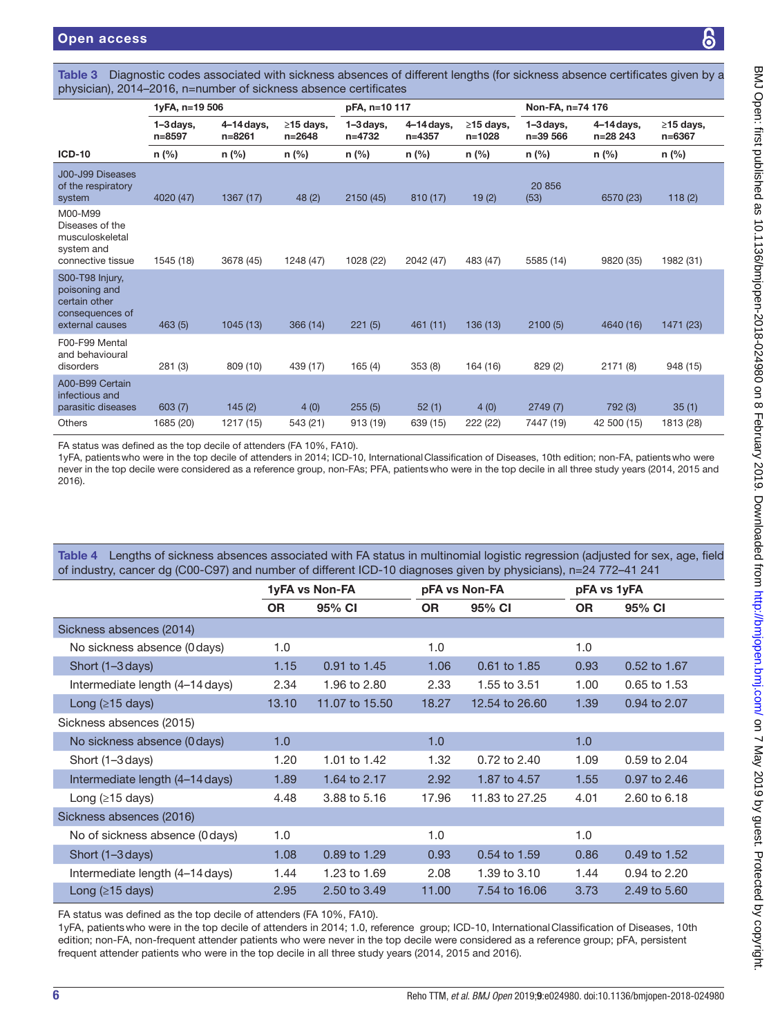BMJ Open: first published as 10.1136/bmjopen-2018-024980 on 8 February 2019. Downloaded from http://bmjopen.bmj.com/ on 7 May 2019 by guest. Protected by copyright BMJ Open: first published as 10.1136/bmjopen-2018-024980 on 8 February 2019. Downloaded from <http://bmjopen.bmj.com/> on 7 May 2019 by guest. Protected by copyright.

<span id="page-5-0"></span>Table 3 Diagnostic codes associated with sickness absences of different lengths (for sickness absence certificates given by a physician), 2014–2016, n=number of sickness absence certificates

| $P1$ , $P2$ , $P3$ , $P4$ , $P5$ , $P6$ , $P7$ , $P8$ , $P9$ , $P1$ , $P1$ , $P2$ , $P1$ , $P1$ , $P2$ , $P1$ , $P1$ , $P2$ , $P$ |                           |                            |                               |                             |                            |                               |                         |                           |                               |  |
|-----------------------------------------------------------------------------------------------------------------------------------|---------------------------|----------------------------|-------------------------------|-----------------------------|----------------------------|-------------------------------|-------------------------|---------------------------|-------------------------------|--|
|                                                                                                                                   | 1yFA, n=19 506            |                            |                               | pFA, n=10 117               |                            |                               | Non-FA, n=74 176        |                           |                               |  |
|                                                                                                                                   | $1-3$ days,<br>$n = 8597$ | $4-14$ days,<br>$n = 8261$ | $\geq$ 15 days,<br>$n = 2648$ | $1 - 3$ days,<br>$n = 4732$ | $4-14$ days,<br>$n = 4357$ | $\geq$ 15 days,<br>$n = 1028$ | $1-3$ days,<br>n=39 566 | $4-14$ days,<br>$n=28243$ | $\geq$ 15 days,<br>$n = 6367$ |  |
| <b>ICD-10</b>                                                                                                                     | $n$ (%)                   | $n$ (%)                    | n (%)                         | n (%)                       | n (%)                      | n (%)                         | n (%)                   | $n$ (%)                   | n (%)                         |  |
| J00-J99 Diseases<br>of the respiratory<br>system                                                                                  | 4020 (47)                 | 1367 (17)                  | 48(2)                         | 2150(45)                    | 810 (17)                   | 19(2)                         | 20 856<br>(53)          | 6570 (23)                 | 118(2)                        |  |
| M00-M99<br>Diseases of the<br>musculoskeletal<br>system and<br>connective tissue                                                  | 1545 (18)                 | 3678 (45)                  | 1248 (47)                     | 1028 (22)                   | 2042 (47)                  | 483 (47)                      | 5585 (14)               | 9820 (35)                 | 1982 (31)                     |  |
| S00-T98 Injury,<br>poisoning and<br>certain other<br>consequences of<br>external causes                                           | 463(5)                    | 1045(13)                   | 366 (14)                      | 221(5)                      | 461(11)                    | 136 (13)                      | 2100(5)                 | 4640 (16)                 | 1471 (23)                     |  |
| F00-F99 Mental<br>and behavioural<br>disorders                                                                                    | 281 (3)                   | 809 (10)                   | 439 (17)                      | 165(4)                      | 353(8)                     | 164 (16)                      | 829 (2)                 | 2171 (8)                  | 948 (15)                      |  |
| A00-B99 Certain<br>infectious and<br>parasitic diseases                                                                           | 603(7)                    | 145(2)                     | 4(0)                          | 255(5)                      | 52(1)                      | 4(0)                          | 2749(7)                 | 792 (3)                   | 35(1)                         |  |
| <b>Others</b>                                                                                                                     | 1685 (20)                 | 1217 (15)                  | 543 (21)                      | 913 (19)                    | 639 (15)                   | 222 (22)                      | 7447 (19)               | 42 500 (15)               | 1813 (28)                     |  |

FA status was defined as the top decile of attenders (FA 10%, FA10).

1yFA, patientswho were in the top decile of attenders in 2014; ICD-10, InternationalClassification of Diseases, 10th edition; non-FA, patientswho were never in the top decile were considered as a reference group, non-FAs; PFA, patientswho were in the top decile in all three study years (2014, 2015 and 2016).

<span id="page-5-1"></span>Table 4 Lengths of sickness absences associated with FA status in multinomial logistic regression (adjusted for sex, age, field of industry, cancer dg (C00-C97) and number of different ICD-10 diagnoses given by physicians), n=24 772–41 241

|                                 | 1yFA vs Non-FA |                |           | pFA vs Non-FA  | pFA vs 1yFA |              |
|---------------------------------|----------------|----------------|-----------|----------------|-------------|--------------|
|                                 | <b>OR</b>      | 95% CI         | <b>OR</b> | 95% CI         | <b>OR</b>   | 95% CI       |
| Sickness absences (2014)        |                |                |           |                |             |              |
| No sickness absence (0 days)    | 1.0            |                | 1.0       |                | 1.0         |              |
| Short (1-3 days)                | 1.15           | 0.91 to 1.45   | 1.06      | 0.61 to 1.85   | 0.93        | 0.52 to 1.67 |
| Intermediate length (4-14 days) | 2.34           | 1.96 to 2.80   | 2.33      | 1.55 to 3.51   | 1.00        | 0.65 to 1.53 |
| Long ( $\ge$ 15 days)           | 13.10          | 11.07 to 15.50 | 18.27     | 12.54 to 26.60 | 1.39        | 0.94 to 2.07 |
| Sickness absences (2015)        |                |                |           |                |             |              |
| No sickness absence (0 days)    | 1.0            |                | 1.0       |                | 1.0         |              |
| Short (1-3 days)                | 1.20           | 1.01 to 1.42   | 1.32      | 0.72 to 2.40   | 1.09        | 0.59 to 2.04 |
| Intermediate length (4-14 days) | 1.89           | 1.64 to 2.17   | 2.92      | 1.87 to 4.57   | 1.55        | 0.97 to 2.46 |
| Long ( $\ge$ 15 days)           | 4.48           | 3.88 to 5.16   | 17.96     | 11.83 to 27.25 | 4.01        | 2.60 to 6.18 |
| Sickness absences (2016)        |                |                |           |                |             |              |
| No of sickness absence (0 days) | 1.0            |                | 1.0       |                | 1.0         |              |
| Short (1-3 days)                | 1.08           | 0.89 to 1.29   | 0.93      | 0.54 to 1.59   | 0.86        | 0.49 to 1.52 |
| Intermediate length (4-14 days) | 1.44           | 1.23 to 1.69   | 2.08      | 1.39 to 3.10   | 1.44        | 0.94 to 2.20 |
| Long ( $\ge$ 15 days)           | 2.95           | 2.50 to 3.49   | 11.00     | 7.54 to 16.06  | 3.73        | 2.49 to 5.60 |

FA status was defined as the top decile of attenders (FA 10%, FA10).

1yFA, patientswho were in the top decile of attenders in 2014; 1.0, reference group; ICD-10, InternationalClassification of Diseases, 10th edition; non-FA, non-frequent attender patients who were never in the top decile were considered as a reference group; pFA, persistent frequent attender patients who were in the top decile in all three study years (2014, 2015 and 2016).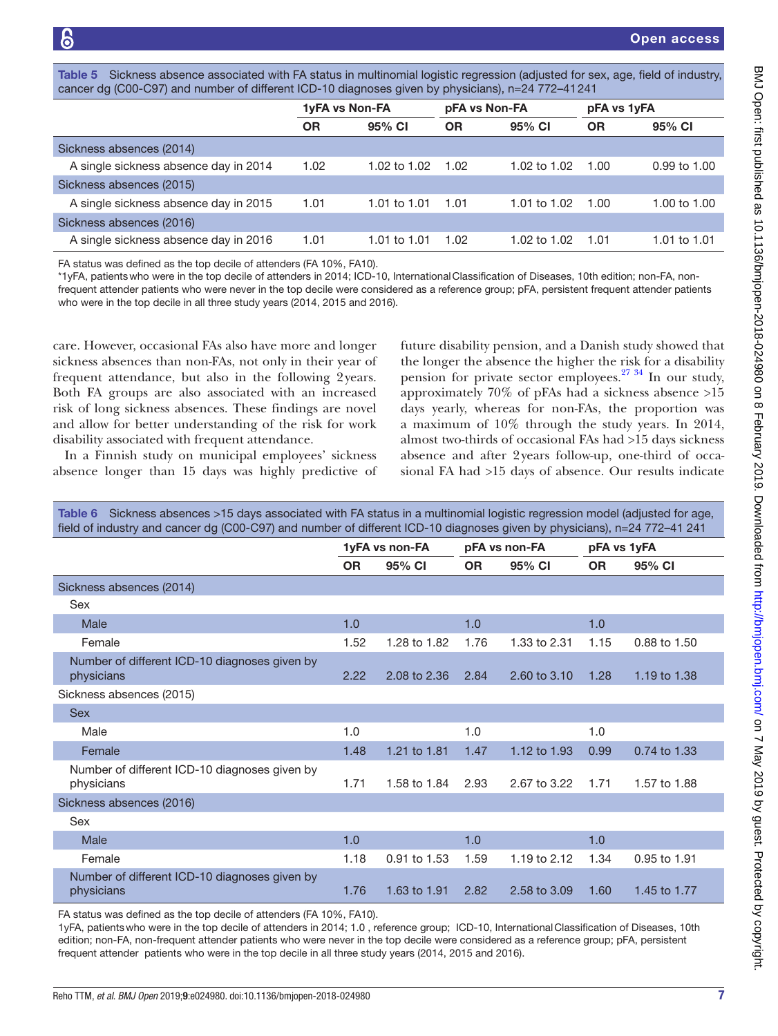<span id="page-6-0"></span>

| Table 5 Sickness absence associated with FA status in multinomial logistic regression (adjusted for sex, age, field of industry, |  |
|----------------------------------------------------------------------------------------------------------------------------------|--|
| cancer dg (C00-C97) and number of different ICD-10 diagnoses given by physicians), n=24 772-41241                                |  |

|                                       | 1yFA vs Non-FA |              | pFA vs Non-FA |              | pFA vs 1yFA |                  |
|---------------------------------------|----------------|--------------|---------------|--------------|-------------|------------------|
|                                       | <b>OR</b>      | 95% CI       | <b>OR</b>     | 95% CI       | <b>OR</b>   | 95% CI           |
| Sickness absences (2014)              |                |              |               |              |             |                  |
| A single sickness absence day in 2014 | 1.02           | 1.02 to 1.02 | 1.02          | 1.02 to 1.02 | 1.00        | $0.99$ to $1.00$ |
| Sickness absences (2015)              |                |              |               |              |             |                  |
| A single sickness absence day in 2015 | 1.01           | 1.01 to 1.01 | 1.01          | 1.01 to 1.02 | 1.00        | 1.00 to 1.00     |
| Sickness absences (2016)              |                |              |               |              |             |                  |
| A single sickness absence day in 2016 | 1.01           | 1.01 to 1.01 | 1.02          | 1.02 to 1.02 | 1.01        | 1.01 to 1.01     |
|                                       |                |              |               |              |             |                  |

FA status was defined as the top decile of attenders (FA 10%, FA10).

\*1yFA, patientswho were in the top decile of attenders in 2014; ICD-10, InternationalClassification of Diseases, 10th edition; non-FA, nonfrequent attender patients who were never in the top decile were considered as a reference group; pFA, persistent frequent attender patients who were in the top decile in all three study years (2014, 2015 and 2016).

care. However, occasional FAs also have more and longer sickness absences than non-FAs, not only in their year of frequent attendance, but also in the following 2years. Both FA groups are also associated with an increased risk of long sickness absences. These findings are novel and allow for better understanding of the risk for work disability associated with frequent attendance.

In a Finnish study on municipal employees' sickness absence longer than 15 days was highly predictive of future disability pension, and a Danish study showed that the longer the absence the higher the risk for a disability pension for private sector employees.<sup>[27 34](#page-8-16)</sup> In our study, approximately 70% of pFAs had a sickness absence >15 days yearly, whereas for non-FAs, the proportion was a maximum of 10% through the study years. In 2014, almost two-thirds of occasional FAs had >15 days sickness absence and after 2years follow-up, one-third of occasional FA had >15 days of absence. Our results indicate

<span id="page-6-1"></span>Table 6 Sickness absences >15 days associated with FA status in a multinomial logistic regression model (adjusted for age, field of industry and cancer dg (C00-C97) and number of different ICD-10 diagnoses given by physicians), n=24 772–41 241

|                                                             | 1yFA vs non-FA |              |           | pFA vs non-FA |           | pFA vs 1yFA  |
|-------------------------------------------------------------|----------------|--------------|-----------|---------------|-----------|--------------|
|                                                             | <b>OR</b>      | 95% CI       | <b>OR</b> | 95% CI        | <b>OR</b> | 95% CI       |
| Sickness absences (2014)                                    |                |              |           |               |           |              |
| Sex                                                         |                |              |           |               |           |              |
| Male                                                        | 1.0            |              | 1.0       |               | 1.0       |              |
| Female                                                      | 1.52           | 1.28 to 1.82 | 1.76      | 1.33 to 2.31  | 1.15      | 0.88 to 1.50 |
| Number of different ICD-10 diagnoses given by<br>physicians | 2.22           | 2.08 to 2.36 | 2.84      | 2.60 to 3.10  | 1.28      | 1.19 to 1.38 |
| Sickness absences (2015)                                    |                |              |           |               |           |              |
| <b>Sex</b>                                                  |                |              |           |               |           |              |
| Male                                                        | 1.0            |              | 1.0       |               | 1.0       |              |
| Female                                                      | 1.48           | 1.21 to 1.81 | 1.47      | 1.12 to 1.93  | 0.99      | 0.74 to 1.33 |
| Number of different ICD-10 diagnoses given by<br>physicians | 1.71           | 1.58 to 1.84 | 2.93      | 2.67 to 3.22  | 1.71      | 1.57 to 1.88 |
| Sickness absences (2016)                                    |                |              |           |               |           |              |
| Sex                                                         |                |              |           |               |           |              |
| <b>Male</b>                                                 | 1.0            |              | 1.0       |               | 1.0       |              |
| Female                                                      | 1.18           | 0.91 to 1.53 | 1.59      | 1.19 to 2.12  | 1.34      | 0.95 to 1.91 |
| Number of different ICD-10 diagnoses given by<br>physicians | 1.76           | 1.63 to 1.91 | 2.82      | 2.58 to 3.09  | 1.60      | 1.45 to 1.77 |

FA status was defined as the top decile of attenders (FA 10%, FA10).

1yFA, patientswho were in the top decile of attenders in 2014; 1.0 , reference group; ICD-10, InternationalClassification of Diseases, 10th edition; non-FA, non-frequent attender patients who were never in the top decile were considered as a reference group; pFA, persistent frequent attender patients who were in the top decile in all three study years (2014, 2015 and 2016).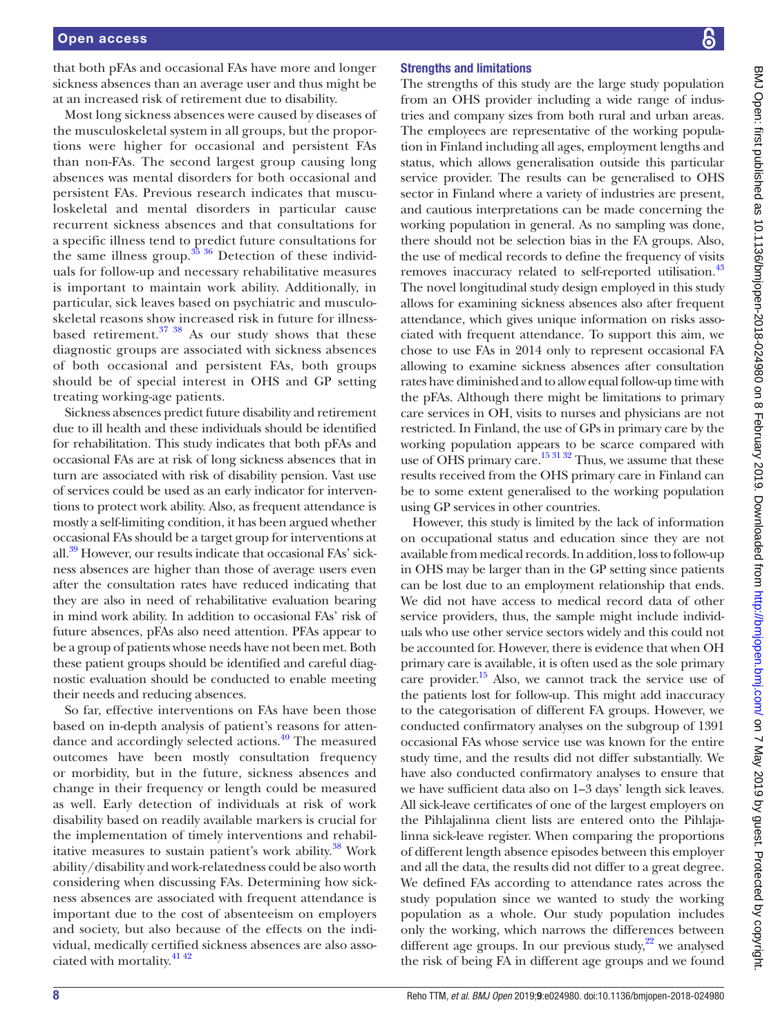that both pFAs and occasional FAs have more and longer sickness absences than an average user and thus might be at an increased risk of retirement due to disability.

Most long sickness absences were caused by diseases of the musculoskeletal system in all groups, but the proportions were higher for occasional and persistent FAs than non-FAs. The second largest group causing long absences was mental disorders for both occasional and persistent FAs. Previous research indicates that musculoskeletal and mental disorders in particular cause recurrent sickness absences and that consultations for a specific illness tend to predict future consultations for the same illness group.<sup>35</sup> 36 Detection of these individuals for follow-up and necessary rehabilitative measures is important to maintain work ability. Additionally, in particular, sick leaves based on psychiatric and musculoskeletal reasons show increased risk in future for illnessbased retirement. $37 \frac{38}{18}$  As our study shows that these diagnostic groups are associated with sickness absences of both occasional and persistent FAs, both groups should be of special interest in OHS and GP setting treating working-age patients.

Sickness absences predict future disability and retirement due to ill health and these individuals should be identified for rehabilitation. This study indicates that both pFAs and occasional FAs are at risk of long sickness absences that in turn are associated with risk of disability pension. Vast use of services could be used as an early indicator for interventions to protect work ability. Also, as frequent attendance is mostly a self-limiting condition, it has been argued whether occasional FAs should be a target group for interventions at all.<sup>39</sup> However, our results indicate that occasional FAs' sickness absences are higher than those of average users even after the consultation rates have reduced indicating that they are also in need of rehabilitative evaluation bearing in mind work ability. In addition to occasional FAs' risk of future absences, pFAs also need attention. PFAs appear to be a group of patients whose needs have not been met. Both these patient groups should be identified and careful diagnostic evaluation should be conducted to enable meeting their needs and reducing absences.

So far, effective interventions on FAs have been those based on in-depth analysis of patient's reasons for attendance and accordingly selected actions.<sup>40</sup> The measured outcomes have been mostly consultation frequency or morbidity, but in the future, sickness absences and change in their frequency or length could be measured as well. Early detection of individuals at risk of work disability based on readily available markers is crucial for the implementation of timely interventions and rehabil-itative measures to sustain patient's work ability.<sup>[38](#page-9-8)</sup> Work ability/disability and work-relatedness could be also worth considering when discussing FAs. Determining how sickness absences are associated with frequent attendance is important due to the cost of absenteeism on employers and society, but also because of the effects on the individual, medically certified sickness absences are also associated with mortality[.41 42](#page-9-9)

#### Strengths and limitations

The strengths of this study are the large study population from an OHS provider including a wide range of industries and company sizes from both rural and urban areas. The employees are representative of the working population in Finland including all ages, employment lengths and status, which allows generalisation outside this particular service provider. The results can be generalised to OHS sector in Finland where a variety of industries are present, and cautious interpretations can be made concerning the working population in general. As no sampling was done, there should not be selection bias in the FA groups. Also, the use of medical records to define the frequency of visits removes inaccuracy related to self-reported utilisation.<sup>43</sup> The novel longitudinal study design employed in this study allows for examining sickness absences also after frequent attendance, which gives unique information on risks associated with frequent attendance. To support this aim, we chose to use FAs in 2014 only to represent occasional FA allowing to examine sickness absences after consultation rates have diminished and to allow equal follow-up time with the pFAs. Although there might be limitations to primary care services in OH, visits to nurses and physicians are not restricted. In Finland, the use of GPs in primary care by the working population appears to be scarce compared with use of OHS primary care.<sup>15 31 32</sup> Thus, we assume that these results received from the OHS primary care in Finland can be to some extent generalised to the working population using GP services in other countries.

However, this study is limited by the lack of information on occupational status and education since they are not available from medical records. In addition, loss to follow-up in OHS may be larger than in the GP setting since patients can be lost due to an employment relationship that ends. We did not have access to medical record data of other service providers, thus, the sample might include individuals who use other service sectors widely and this could not be accounted for. However, there is evidence that when OH primary care is available, it is often used as the sole primary care provider.<sup>[15](#page-8-6)</sup> Also, we cannot track the service use of the patients lost for follow-up. This might add inaccuracy to the categorisation of different FA groups. However, we conducted confirmatory analyses on the subgroup of 1391 occasional FAs whose service use was known for the entire study time, and the results did not differ substantially. We have also conducted confirmatory analyses to ensure that we have sufficient data also on 1–3 days' length sick leaves. All sick-leave certificates of one of the largest employers on the Pihlajalinna client lists are entered onto the Pihlajalinna sick-leave register. When comparing the proportions of different length absence episodes between this employer and all the data, the results did not differ to a great degree. We defined FAs according to attendance rates across the study population since we wanted to study the working population as a whole. Our study population includes only the working, which narrows the differences between different age groups. In our previous study, $2^2$  we analysed the risk of being FA in different age groups and we found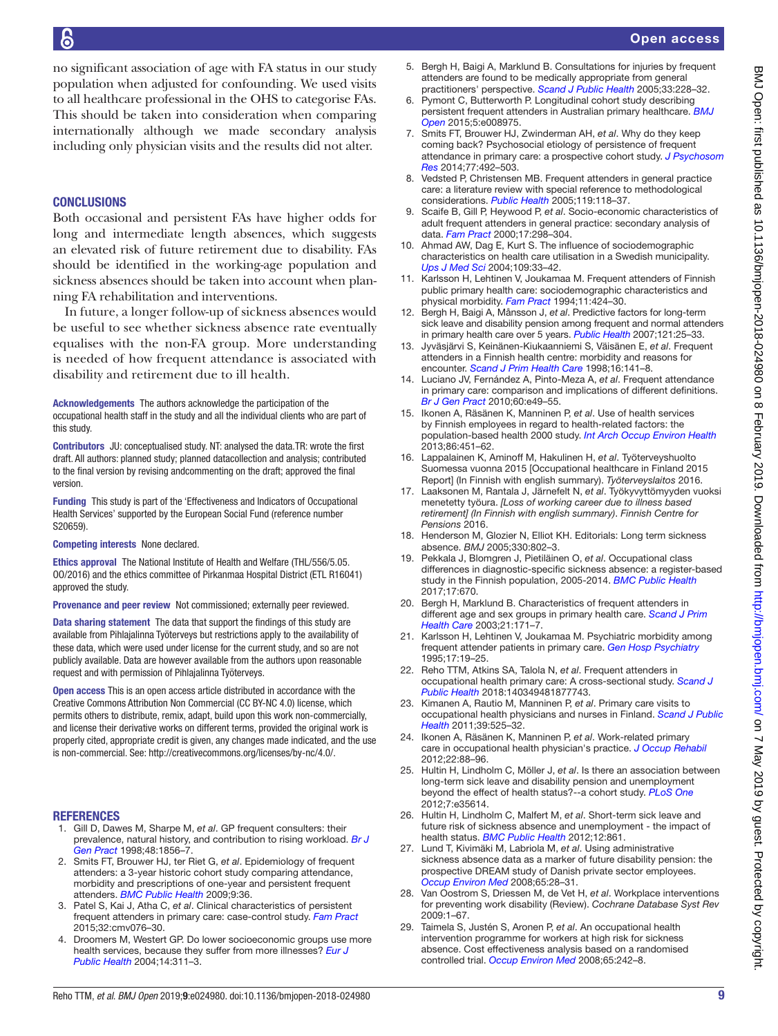no significant association of age with FA status in our study population when adjusted for confounding. We used visits to all healthcare professional in the OHS to categorise FAs. This should be taken into consideration when comparing internationally although we made secondary analysis including only physician visits and the results did not alter.

#### **CONCLUSIONS**

Both occasional and persistent FAs have higher odds for long and intermediate length absences, which suggests an elevated risk of future retirement due to disability. FAs should be identified in the working-age population and sickness absences should be taken into account when planning FA rehabilitation and interventions.

In future, a longer follow-up of sickness absences would be useful to see whether sickness absence rate eventually equalises with the non-FA group. More understanding is needed of how frequent attendance is associated with disability and retirement due to ill health.

Acknowledgements The authors acknowledge the participation of the occupational health staff in the study and all the individual clients who are part of this study.

Contributors JU: conceptualised study. NT: analysed the data.TR: wrote the first draft. All authors: planned study; planned datacollection and analysis; contributed to the final version by revising andcommenting on the draft; approved the final version.

Funding This study is part of the 'Effectiveness and Indicators of Occupational Health Services' supported by the European Social Fund (reference number S20659).

Competing interests None declared.

Ethics approval The National Institute of Health and Welfare (THL/556/5.05. OO/2016) and the ethics committee of Pirkanmaa Hospital District (ETL R16041) approved the study.

Provenance and peer review Not commissioned; externally peer reviewed.

Data sharing statement The data that support the findings of this study are available from Pihlajalinna Työterveys but restrictions apply to the availability of these data, which were used under license for the current study, and so are not publicly available. Data are however available from the authors upon reasonable request and with permission of Pihlajalinna Työterveys.

Open access This is an open access article distributed in accordance with the Creative Commons Attribution Non Commercial (CC BY-NC 4.0) license, which permits others to distribute, remix, adapt, build upon this work non-commercially, and license their derivative works on different terms, provided the original work is properly cited, appropriate credit is given, any changes made indicated, and the use is non-commercial. See: <http://creativecommons.org/licenses/by-nc/4.0/>.

## **REFERENCES**

- <span id="page-8-0"></span>1. Gill D, Dawes M, Sharpe M, *et al*. GP frequent consulters: their prevalence, natural history, and contribution to rising workload. *[Br J](http://www.ncbi.nlm.nih.gov/pubmed/10198509)  [Gen Pract](http://www.ncbi.nlm.nih.gov/pubmed/10198509)* 1998;48:1856–7.
- <span id="page-8-2"></span>2. Smits FT, Brouwer HJ, ter Riet G, *et al*. Epidemiology of frequent attenders: a 3-year historic cohort study comparing attendance, morbidity and prescriptions of one-year and persistent frequent attenders. *[BMC Public Health](http://dx.doi.org/10.1186/1471-2458-9-36)* 2009;9:36.
- <span id="page-8-1"></span>3. Patel S, Kai J, Atha C, *et al*. Clinical characteristics of persistent frequent attenders in primary care: case-control study. *[Fam Pract](http://dx.doi.org/10.1093/fampra/cmv076)* 2015;32:cmv076–30.
- 4. Droomers M, Westert GP. Do lower socioeconomic groups use more health services, because they suffer from more illnesses? *[Eur J](http://dx.doi.org/10.1093/eurpub/14.3.311)  [Public Health](http://dx.doi.org/10.1093/eurpub/14.3.311)* 2004;14:311–3.
- 5. Bergh H, Baigi A, Marklund B. Consultations for injuries by frequent attenders are found to be medically appropriate from general practitioners' perspective. *[Scand J Public Health](http://dx.doi.org/10.1080/14034940510005761)* 2005;33:228–32.
- 6. Pymont C, Butterworth P. Longitudinal cohort study describing persistent frequent attenders in Australian primary healthcare. *[BMJ](http://dx.doi.org/10.1136/bmjopen-2015-008975)  [Open](http://dx.doi.org/10.1136/bmjopen-2015-008975)* 2015;5:e008975.
- 7. Smits FT, Brouwer HJ, Zwinderman AH, *et al*. Why do they keep coming back? Psychosocial etiology of persistence of frequent attendance in primary care: a prospective cohort study. *[J Psychosom](http://dx.doi.org/10.1016/j.jpsychores.2014.08.003)  [Res](http://dx.doi.org/10.1016/j.jpsychores.2014.08.003)* 2014;77:492–503.
- <span id="page-8-3"></span>8. Vedsted P, Christensen MB. Frequent attenders in general practice care: a literature review with special reference to methodological considerations. *[Public Health](http://dx.doi.org/10.1016/j.puhe.2004.03.007)* 2005;119:118–37.
- 9. Scaife B, Gill P, Heywood P, *et al*. Socio-economic characteristics of adult frequent attenders in general practice: secondary analysis of data. *[Fam Pract](http://dx.doi.org/10.1093/fampra/17.4.298)* 2000;17:298–304.
- <span id="page-8-5"></span>10. Ahmad AW, Dag E, Kurt S. The influence of sociodemographic characteristics on health care utilisation in a Swedish municipality. *[Ups J Med Sci](http://dx.doi.org/10.3109/2000-1967-108)* 2004;109:33–42.
- 11. Karlsson H, Lehtinen V, Joukamaa M. Frequent attenders of Finnish public primary health care: sociodemographic characteristics and physical morbidity. *[Fam Pract](http://dx.doi.org/10.1093/fampra/11.4.424)* 1994;11:424–30.
- <span id="page-8-4"></span>12. Bergh H, Baigi A, Månsson J, *et al*. Predictive factors for long-term sick leave and disability pension among frequent and normal attenders in primary health care over 5 years. *[Public Health](http://dx.doi.org/10.1016/j.puhe.2006.08.018)* 2007;121:25–33.
- 13. Jyväsjärvi S, Keinänen-Kiukaanniemi S, Väisänen E, *et al*. Frequent attenders in a Finnish health centre: morbidity and reasons for encounter. *[Scand J Prim Health Care](http://www.ncbi.nlm.nih.gov/pubmed/9800226)* 1998;16:141–8.
- 14. Luciano JV, Fernández A, Pinto-Meza A, *et al*. Frequent attendance in primary care: comparison and implications of different definitions. *[Br J Gen Pract](http://dx.doi.org/10.3399/bjgp10X483139)* 2010;60:e49–55.
- <span id="page-8-6"></span>15. Ikonen A, Räsänen K, Manninen P, *et al*. Use of health services by Finnish employees in regard to health-related factors: the population-based health 2000 study. *[Int Arch Occup Environ Health](http://dx.doi.org/10.1007/s00420-012-0778-0)* 2013;86:451–62.
- <span id="page-8-14"></span>16. Lappalainen K, Aminoff M, Hakulinen H, *et al*. Työterveyshuolto Suomessa vuonna 2015 [Occupational healthcare in Finland 2015 Report] (In Finnish with english summary). *Työterveyslaitos* 2016.
- <span id="page-8-7"></span>17. Laaksonen M, Rantala J, Järnefelt N, *et al*. Työkyvyttömyyden vuoksi menetetty työura. *[Loss of working career due to illness based retirement] (In Finnish with english summary)*. *Finnish Centre for Pensions* 2016.
- <span id="page-8-8"></span>18. Henderson M, Glozier N, Elliot KH. Editorials: Long term sickness absence. *BMJ* 2005;330:802–3.
- 19. Pekkala J, Blomgren J, Pietiläinen O, *et al*. Occupational class differences in diagnostic-specific sickness absence: a register-based study in the Finnish population, 2005-2014. *[BMC Public Health](http://dx.doi.org/10.1186/s12889-017-4674-0)* 2017;17:670.
- <span id="page-8-9"></span>20. Bergh H, Marklund B. Characteristics of frequent attenders in different age and sex groups in primary health care. *[Scand J Prim](http://dx.doi.org/10.1080/02813430310001149)  [Health Care](http://dx.doi.org/10.1080/02813430310001149)* 2003;21:171–7.
- 21. Karlsson H, Lehtinen V, Joukamaa M. Psychiatric morbidity among frequent attender patients in primary care. *[Gen Hosp Psychiatry](http://dx.doi.org/10.1016/0163-8343(94)00059-M)* 1995;17:19–25.
- <span id="page-8-15"></span>22. Reho TTM, Atkins SA, Talola N, *et al*. Frequent attenders in occupational health primary care: A cross-sectional study. *[Scand J](http://dx.doi.org/10.1177/1403494818777436)  [Public Health](http://dx.doi.org/10.1177/1403494818777436)* 2018:140349481877743.
- <span id="page-8-10"></span>23. Kimanen A, Rautio M, Manninen P, *et al*. Primary care visits to occupational health physicians and nurses in Finland. *[Scand J Public](http://dx.doi.org/10.1177/1403494811399651)  [Health](http://dx.doi.org/10.1177/1403494811399651)* 2011;39:525–32.
- <span id="page-8-11"></span>24. Ikonen A, Räsänen K, Manninen P, *et al*. Work-related primary care in occupational health physician's practice. *[J Occup Rehabil](http://dx.doi.org/10.1007/s10926-011-9325-1)* 2012;22:88–96.
- <span id="page-8-12"></span>25. Hultin H, Lindholm C, Möller J, *et al*. Is there an association between long-term sick leave and disability pension and unemployment beyond the effect of health status?--a cohort study. *[PLoS One](http://dx.doi.org/10.1371/journal.pone.0035614)* 2012;7:e35614.
- 26. Hultin H, Lindholm C, Malfert M, *et al*. Short-term sick leave and future risk of sickness absence and unemployment - the impact of health status. *[BMC Public Health](http://dx.doi.org/10.1186/1471-2458-12-861)* 2012;12:861.
- <span id="page-8-16"></span>27. Lund T, Kivimäki M, Labriola M, *et al*. Using administrative sickness absence data as a marker of future disability pension: the prospective DREAM study of Danish private sector employees. *[Occup Environ Med](http://dx.doi.org/10.1136/oem.2006.031393)* 2008;65:28–31.
- <span id="page-8-13"></span>28. Van Oostrom S, Driessen M, de Vet H, *et al*. Workplace interventions for preventing work disability (Review). *Cochrane Database Syst Rev* 2009:1–67.
- 29. Taimela S, Justén S, Aronen P, *et al*. An occupational health intervention programme for workers at high risk for sickness absence. Cost effectiveness analysis based on a randomised controlled trial. *[Occup Environ Med](http://dx.doi.org/10.1136/oem.2007.033167)* 2008;65:242–8.